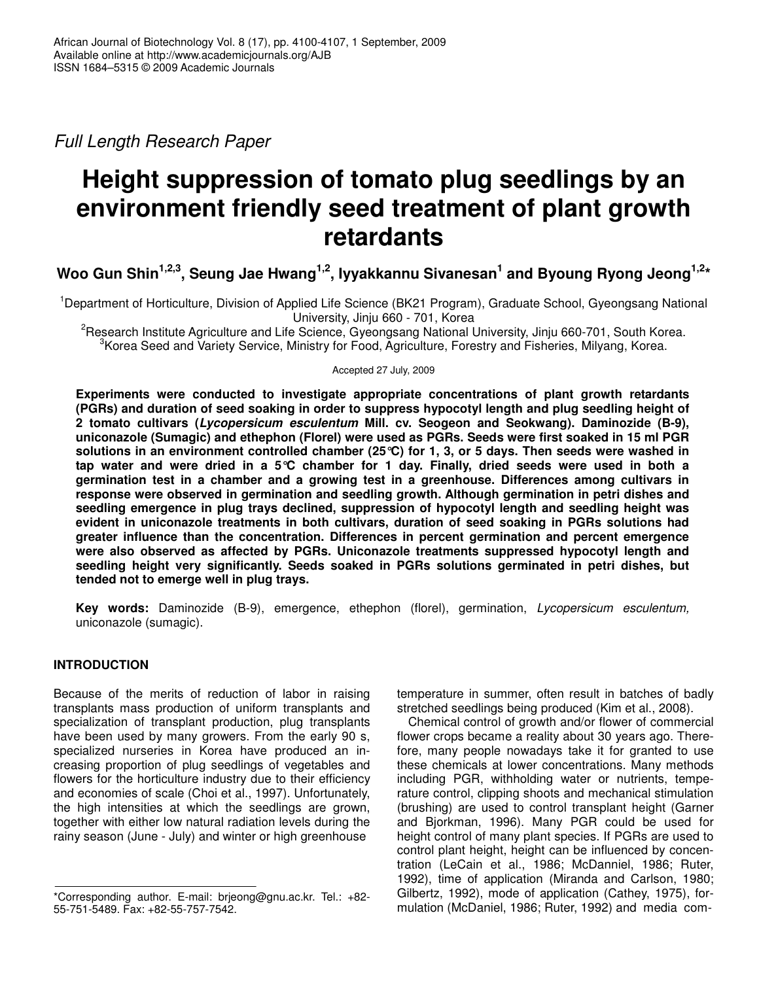*Full Length Research Paper*

# **Height suppression of tomato plug seedlings by an environment friendly seed treatment of plant growth retardants**

Woo Gun Shin $^{1,2,3},$  Seung Jae Hwang $^{1,2},$  Iyyakkannu Sivanesan $^1$  and Byoung Ryong Jeong $^{1,2\star}$ 

<sup>1</sup>Department of Horticulture, Division of Applied Life Science (BK21 Program), Graduate School, Gyeongsang National University, Jinju 660 - 701, Korea

<sup>2</sup>Research Institute Agriculture and Life Science, Gyeongsang National University, Jinju 660-701, South Korea. <sup>3</sup> Korea Seed and Variety Service, Ministry for Food, Agriculture, Forestry and Fisheries, Milyang, Korea.

Accepted 27 July, 2009

**Experiments were conducted to investigate appropriate concentrations of plant growth retardants (PGRs) and duration of seed soaking in order to suppress hypocotyl length and plug seedling height of 2 tomato cultivars (***Lycopersicum esculentum* **Mill. cv. Seogeon and Seokwang). Daminozide (B-9), uniconazole (Sumagic) and ethephon (Florel) were used as PGRs. Seeds were first soaked in 15 ml PGR** solutions in an environment controlled chamber (25 °C) for 1, 3, or 5 days. Then seeds were washed in tap water and were dried in a 5 $\degree$ C chamber for 1 day. Finally, dried seeds were used in both a **germination test in a chamber and a growing test in a greenhouse. Differences among cultivars in response were observed in germination and seedling growth. Although germination in petri dishes and seedling emergence in plug trays declined, suppression of hypocotyl length and seedling height was evident in uniconazole treatments in both cultivars, duration of seed soaking in PGRs solutions had greater influence than the concentration. Differences in percent germination and percent emergence were also observed as affected by PGRs. Uniconazole treatments suppressed hypocotyl length and seedling height very significantly. Seeds soaked in PGRs solutions germinated in petri dishes, but tended not to emerge well in plug trays.**

**Key words:** Daminozide (B-9), emergence, ethephon (florel), germination, *Lycopersicum esculentum,* uniconazole (sumagic).

## **INTRODUCTION**

Because of the merits of reduction of labor in raising transplants mass production of uniform transplants and specialization of transplant production, plug transplants have been used by many growers. From the early 90 s, specialized nurseries in Korea have produced an increasing proportion of plug seedlings of vegetables and flowers for the horticulture industry due to their efficiency and economies of scale (Choi et al., 1997). Unfortunately, the high intensities at which the seedlings are grown, together with either low natural radiation levels during the rainy season (June - July) and winter or high greenhouse

temperature in summer, often result in batches of badly stretched seedlings being produced (Kim et al., 2008).

Chemical control of growth and/or flower of commercial flower crops became a reality about 30 years ago. Therefore, many people nowadays take it for granted to use these chemicals at lower concentrations. Many methods including PGR, withholding water or nutrients, temperature control, clipping shoots and mechanical stimulation (brushing) are used to control transplant height (Garner and Bjorkman, 1996). Many PGR could be used for height control of many plant species. If PGRs are used to control plant height, height can be influenced by concentration (LeCain et al., 1986; McDanniel, 1986; Ruter, 1992), time of application (Miranda and Carlson, 1980; Gilbertz, 1992), mode of application (Cathey, 1975), formulation (McDaniel, 1986; Ruter, 1992) and media com-

<sup>\*</sup>Corresponding author. E-mail: brjeong@gnu.ac.kr. Tel.: +82- 55-751-5489. Fax: +82-55-757-7542.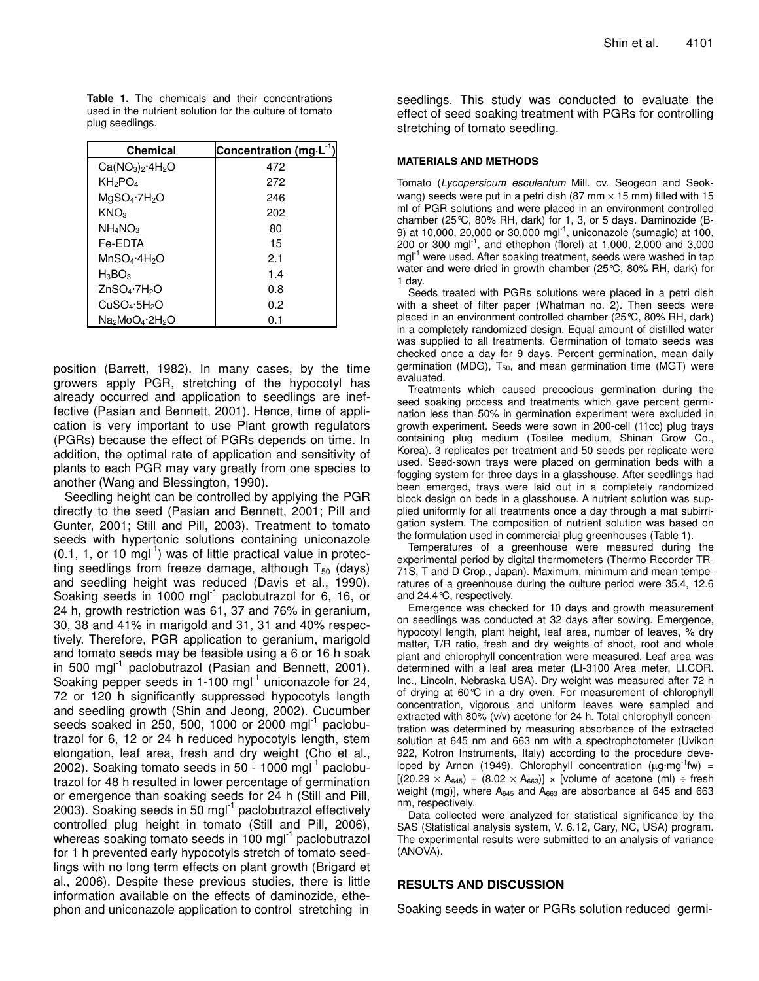**Table 1.** The chemicals and their concentrations used in the nutrient solution for the culture of tomato plug seedlings.

| Chemical                             | Concentration (mg L <sup>-1</sup> ) |
|--------------------------------------|-------------------------------------|
| $Ca(NO3)2·4H2O$                      | 472                                 |
| KH <sub>2</sub> PO <sub>4</sub>      | 272                                 |
| $MqSO_4$ -7 $H_2O$                   | 246                                 |
| KNO <sub>3</sub>                     | 202                                 |
| $NH_4NO_3$                           | 80                                  |
| Fe-EDTA                              | 15                                  |
| $MnSO_4 \cdot 4H_2O$                 | 2.1                                 |
| $H_3BO_3$                            | 1.4                                 |
| ZnSO <sub>4</sub> ·7H <sub>2</sub> O | 0.8                                 |
| CuSO <sub>4</sub> ·5H <sub>2</sub> O | 0.2                                 |
| Na∍MoO4·2H∍O                         | 0.1                                 |

position (Barrett, 1982). In many cases, by the time growers apply PGR, stretching of the hypocotyl has already occurred and application to seedlings are ineffective (Pasian and Bennett, 2001). Hence, time of application is very important to use Plant growth regulators (PGRs) because the effect of PGRs depends on time. In addition, the optimal rate of application and sensitivity of plants to each PGR may vary greatly from one species to another (Wang and Blessington, 1990).

Seedling height can be controlled by applying the PGR directly to the seed (Pasian and Bennett, 2001; Pill and Gunter, 2001; Still and Pill, 2003). Treatment to tomato seeds with hypertonic solutions containing uniconazole  $(0.1, 1,$  or 10 mgl<sup>-1</sup>) was of little practical value in protecting seedlings from freeze damage, although  $T_{50}$  (days) and seedling height was reduced (Davis et al., 1990). Soaking seeds in 1000 mgl<sup>-1</sup> paclobutrazol for 6, 16, or 24 h, growth restriction was 61, 37 and 76% in geranium, 30, 38 and 41% in marigold and 31, 31 and 40% respectively. Therefore, PGR application to geranium, marigold and tomato seeds may be feasible using a 6 or 16 h soak in 500 mgl<sup>-1</sup> paclobutrazol (Pasian and Bennett, 2001). Soaking pepper seeds in 1-100 mgl $^{-1}$  uniconazole for 24, 72 or 120 h significantly suppressed hypocotyls length and seedling growth (Shin and Jeong, 2002). Cucumber seeds soaked in 250, 500, 1000 or 2000 mgl<sup>-1</sup> paclobutrazol for 6, 12 or 24 h reduced hypocotyls length, stem elongation, leaf area, fresh and dry weight (Cho et al., 2002). Soaking tomato seeds in 50 - 1000 mgl $^{-1}$  paclobutrazol for 48 h resulted in lower percentage of germination or emergence than soaking seeds for 24 h (Still and Pill, 2003). Soaking seeds in 50 mgl<sup>-1</sup> paclobutrazol effectively controlled plug height in tomato (Still and Pill, 2006), whereas soaking tomato seeds in 100 mgl<sup>-1</sup> paclobutrazol for 1 h prevented early hypocotyls stretch of tomato seedlings with no long term effects on plant growth (Brigard et al., 2006). Despite these previous studies, there is little information available on the effects of daminozide, ethephon and uniconazole application to control stretching in

seedlings. This study was conducted to evaluate the effect of seed soaking treatment with PGRs for controlling stretching of tomato seedling.

#### **MATERIALS AND METHODS**

Tomato (*Lycopersicum esculentum* Mill. cv. Seogeon and Seokwang) seeds were put in a petri dish (87 mm  $\times$  15 mm) filled with 15 ml of PGR solutions and were placed in an environment controlled chamber (25°C, 80% RH, dark) for 1, 3, or 5 days. Daminozide (B-9) at 10,000, 20,000 or 30,000 mgl<sup>-1</sup>, uniconazole (sumagic) at 100, 200 or 300 mgl -1 , and ethephon (florel) at 1,000, 2,000 and 3,000 mgl<sup>-1</sup> were used. After soaking treatment, seeds were washed in tap water and were dried in growth chamber (25°C, 80% RH, dark) for 1 day.

Seeds treated with PGRs solutions were placed in a petri dish with a sheet of filter paper (Whatman no. 2). Then seeds were placed in an environment controlled chamber (25°C, 80% RH, dark) in a completely randomized design. Equal amount of distilled water was supplied to all treatments. Germination of tomato seeds was checked once a day for 9 days. Percent germination, mean daily germination (MDG),  $T_{50}$ , and mean germination time (MGT) were evaluated.

Treatments which caused precocious germination during the seed soaking process and treatments which gave percent germination less than 50% in germination experiment were excluded in growth experiment. Seeds were sown in 200-cell (11cc) plug trays containing plug medium (Tosilee medium, Shinan Grow Co., Korea). 3 replicates per treatment and 50 seeds per replicate were used. Seed-sown trays were placed on germination beds with a fogging system for three days in a glasshouse. After seedlings had been emerged, trays were laid out in a completely randomized block design on beds in a glasshouse. A nutrient solution was supplied uniformly for all treatments once a day through a mat subirrigation system. The composition of nutrient solution was based on the formulation used in commercial plug greenhouses (Table 1).

Temperatures of a greenhouse were measured during the experimental period by digital thermometers (Thermo Recorder TR-71S, T and D Crop., Japan). Maximum, minimum and mean temperatures of a greenhouse during the culture period were 35.4, 12.6 and 24.4°C, respectively.

Emergence was checked for 10 days and growth measurement on seedlings was conducted at 32 days after sowing. Emergence, hypocotyl length, plant height, leaf area, number of leaves, % dry matter, T/R ratio, fresh and dry weights of shoot, root and whole plant and chlorophyll concentration were measured. Leaf area was determined with a leaf area meter (LI-3100 Area meter, LI.COR. Inc., Lincoln, Nebraska USA). Dry weight was measured after 72 h of drying at 60°C in a dry oven. For measurement of chlorophyll concentration, vigorous and uniform leaves were sampled and extracted with 80% (v/v) acetone for 24 h. Total chlorophyll concentration was determined by measuring absorbance of the extracted solution at 645 nm and 663 nm with a spectrophotometer (Uvikon 922, Kotron Instruments, Italy) according to the procedure developed by Arnon (1949). Chlorophyll concentration ( $\mu$ g·mg<sup>-1</sup>fw) =  $[(20.29 \times A_{645}) + (8.02 \times A_{663})] \times$  [volume of acetone (ml) ÷ fresh weight (mg)], where  $A_{645}$  and  $A_{663}$  are absorbance at 645 and 663 nm, respectively.

Data collected were analyzed for statistical significance by the SAS (Statistical analysis system, V. 6.12, Cary, NC, USA) program. The experimental results were submitted to an analysis of variance (ANOVA).

#### **RESULTS AND DISCUSSION**

Soaking seeds in water or PGRs solution reduced germi-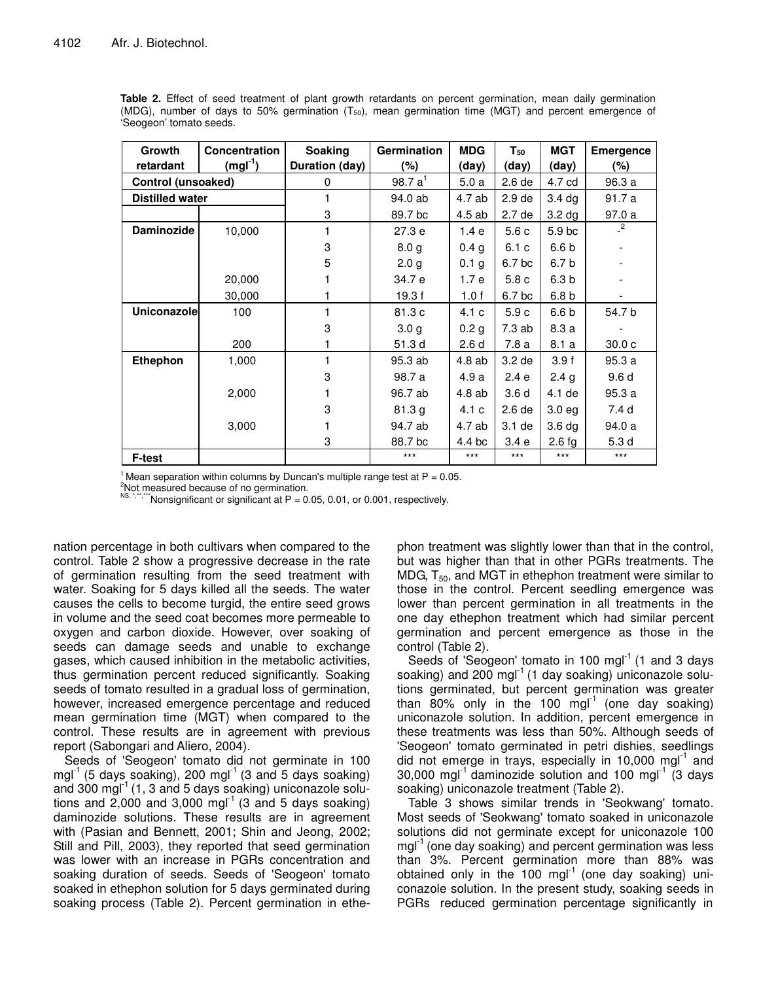| Growth                 | <b>Concentration</b> | <b>Soaking</b> | <b>Germination</b> | <b>MDG</b>       | $T_{50}$          | <b>MGT</b>        | <b>Emergence</b>  |
|------------------------|----------------------|----------------|--------------------|------------------|-------------------|-------------------|-------------------|
| retardant              | $(mgl-1)$            | Duration (day) | (%)                | (day)            | (day)             | (day)             | (%)               |
|                        | Control (unsoaked)   |                | 98.7 $a^{1}$       | 5.0a             | 2.6 de            | 4.7 cd            | 96.3 a            |
| <b>Distilled water</b> |                      | 1              | 94.0 ab            | 4.7 ab           | 2.9 <sub>de</sub> | 3.4 <sub>dq</sub> | 91.7 a            |
|                        |                      | 3              | 89.7 bc            | 4.5 ab           | 2.7 de            | 3.2 <sub>dg</sub> | 97.0 a            |
| Daminozide             | 10,000               |                | 27.3e              | 1.4e             | 5.6c              | 5.9 <sub>bc</sub> | $^{2}$            |
|                        |                      | 3              | 8.0 <sub>g</sub>   | 0.4 <sub>g</sub> | 6.1c              | 6.6 b             |                   |
|                        |                      | 5              | 2.0 <sub>g</sub>   | 0.1 <sub>g</sub> | 6.7 bc            | 6.7 b             |                   |
|                        | 20,000               |                | 34.7 e             | 1.7e             | 5.8c              | 6.3 b             |                   |
|                        | 30,000               |                | 19.3 f             | 1.0f             | 6.7 bc            | 6.8 b             |                   |
| <b>Uniconazole</b>     | 100                  |                | 81.3 c             | 4.1 c            | 5.9c              | 6.6 b             | 54.7 b            |
|                        |                      | 3              | 3.0 <sub>g</sub>   | 0.2 <sub>g</sub> | 7.3ab             | 8.3 a             |                   |
|                        | 200                  |                | 51.3 d             | 2.6d             | 7.8 a             | 8.1a              | 30.0 <sub>c</sub> |
| Ethephon               | 1,000                |                | 95.3 ab            | 4.8 ab           | 3.2 de            | 3.9f              | 95.3a             |
|                        |                      | 3              | 98.7 a             | 4.9 a            | 2.4e              | 2.4 <sub>g</sub>  | 9.6d              |
|                        | 2,000                |                | 96.7 ab            | 4.8 ab           | 3.6 <sub>d</sub>  | 4.1 de            | 95.3a             |
|                        |                      | 3              | 81.3 g             | 4.1c             | 2.6 de            | 3.0 <sub>eg</sub> | 7.4 d             |
|                        | 3,000                |                | 94.7 ab            | 4.7 ab           | 3.1 de            | 3.6 <sub>dq</sub> | 94.0 a            |
|                        |                      | 3              | 88.7 bc            | 4.4 bc           | 3.4 e             | $2.6$ fg          | 5.3 <sub>d</sub>  |
| F-test                 |                      |                | $***$              | $***$            | $***$             | $***$             | $***$             |

Table 2. Effect of seed treatment of plant growth retardants on percent germination, mean daily germination (MDG), number of days to 50% germination  $(T_{50})$ , mean germination time (MGT) and percent emergence of 'Seogeon' tomato seeds.

<sup>1</sup> Mean separation within columns by Duncan's multiple range test at  $P = 0.05$ .

<sup>2</sup>Not measured because of no germination.

NS, A, Wonsignificant or significant at P = 0.05, 0.01, or 0.001, respectively.

nation percentage in both cultivars when compared to the control. Table 2 show a progressive decrease in the rate of germination resulting from the seed treatment with water. Soaking for 5 days killed all the seeds. The water causes the cells to become turgid, the entire seed grows in volume and the seed coat becomes more permeable to oxygen and carbon dioxide. However, over soaking of seeds can damage seeds and unable to exchange gases, which caused inhibition in the metabolic activities. thus germination percent reduced significantly. Soaking seeds of tomato resulted in a gradual loss of germination, however, increased emergence percentage and reduced mean germination time (MGT) when compared to the control. These results are in agreement with previous report (Sabongari and Aliero, 2004).

Seeds of 'Seogeon' tomato did not germinate in 100 mgl<sup>-1</sup> (5 days soaking), 200 mgl<sup>-1</sup> (3 and 5 days soaking) and 300 mg $I^{-1}$  (1, 3 and 5 days soaking) uniconazole solutions and 2,000 and 3,000 mgl<sup>-1</sup> (3 and 5 days soaking) daminozide solutions. These results are in agreement with (Pasian and Bennett, 2001; Shin and Jeong, 2002; Still and Pill, 2003), they reported that seed germination was lower with an increase in PGRs concentration and soaking duration of seeds. Seeds of 'Seogeon' tomato soaked in ethephon solution for 5 days germinated during soaking process (Table 2). Percent germination in ethe-

phon treatment was slightly lower than that in the control. but was higher than that in other PGRs treatments. The MDG,  $T_{50}$ , and MGT in ethephon treatment were similar to those in the control. Percent seedling emergence was lower than percent germination in all treatments in the one day ethephon treatment which had similar percent germination and percent emergence as those in the control (Table 2).

Seeds of 'Seogeon' tomato in 100 mgl<sup>-1</sup> (1 and 3 days soaking) and 200 mgl<sup>-1</sup> (1 day soaking) uniconazole solutions germinated, but percent germination was greater than 80% only in the 100 mgl<sup>-1</sup> (one day soaking) uniconazole solution. In addition, percent emergence in these treatments was less than 50%. Although seeds of 'Seogeon' tomato germinated in petri dishies, seedlings did not emerge in trays, especially in 10,000 mg $I^1$  and 30,000 mgl<sup>-1</sup> daminozide solution and 100 mgl<sup>-1</sup> (3 days soaking) uniconazole treatment (Table 2).

Table 3 shows similar trends in 'Seokwang' tomato. Most seeds of 'Seokwang' tomato soaked in uniconazole solutions did not germinate except for uniconazole 100  $mgI^{-1}$  (one day soaking) and percent germination was less than 3%. Percent germination more than 88% was obtained only in the 100 mgl<sup>-1</sup> (one day soaking) uniconazole solution. In the present study, soaking seeds in PGRs reduced germination percentage significantly in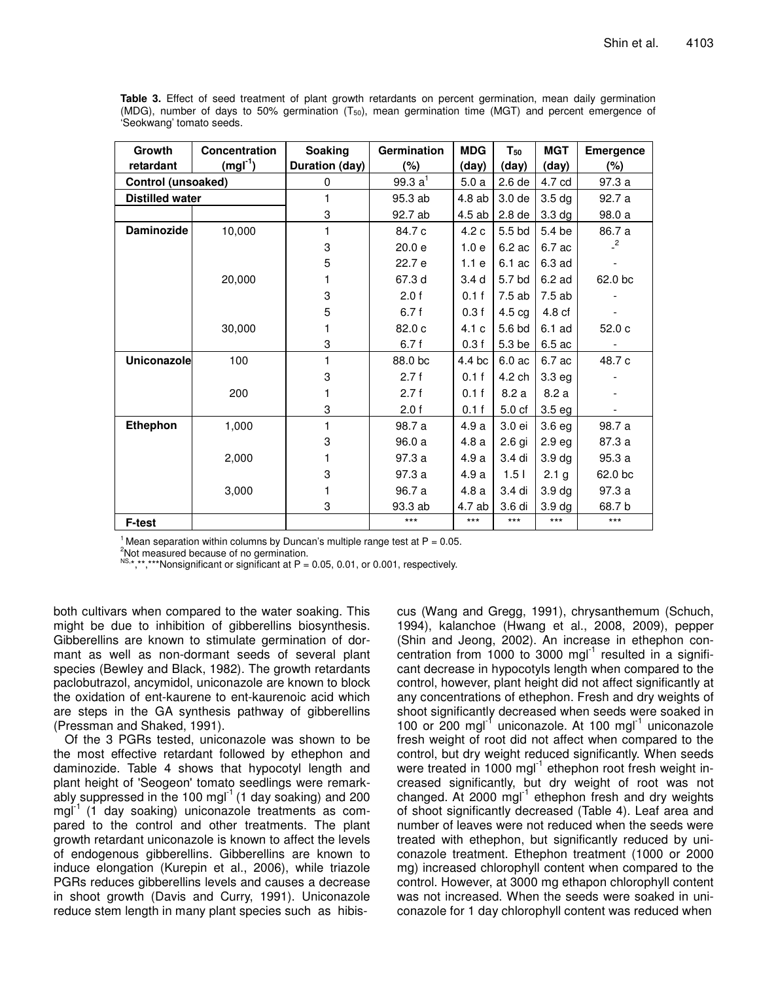| Growth                 | Concentration | Soaking               | Germination                     | <b>MDG</b>       | $\mathsf{T}_{\mathsf{50}}$ | <b>MGT</b>        | <b>Emergence</b> |
|------------------------|---------------|-----------------------|---------------------------------|------------------|----------------------------|-------------------|------------------|
| retardant              | $(mgl-1)$     | <b>Duration (day)</b> | (%)                             | (day)            | (day)                      | (day)             | $(\%)$           |
| Control (unsoaked)     |               | 0                     | $\frac{99.3}{2}$ a <sup>1</sup> | 5.0a             | 2.6 de                     | 4.7 cd            | 97.3 a           |
| <b>Distilled water</b> |               | 1                     | 95.3 ab                         | 4.8 ab           | 3.0 <sub>de</sub>          | 3.5 <sub>dg</sub> | 92.7 a           |
|                        |               | 3                     | 92.7 ab                         | 4.5 ab           | 2.8 de                     | 3.3 <sub>dg</sub> | 98.0 a           |
| Daminozide             | 10,000        | 1                     | 84.7 c                          | 4.2c             | 5.5 bd                     | 5.4 be            | 86.7 a           |
|                        |               | 3                     | 20.0 e                          | 1.0e             | 6.2 ac                     | 6.7 ac            | $^{2}$           |
|                        |               | 5                     | 22.7 e                          | 1.1e             | 6.1 ac                     | 6.3 ad            |                  |
|                        | 20,000        |                       | 67.3 d                          | 3.4 <sub>d</sub> | 5.7 <sub>bd</sub>          | 6.2 ad            | 62.0 bc          |
|                        |               | 3                     | 2.0 f                           | 0.1 f            | 7.5 ab                     | 7.5 ab            |                  |
|                        |               | 5                     | 6.7f                            | 0.3f             | 4.5 cg                     | 4.8 cf            |                  |
|                        | 30,000        | 1                     | 82.0c                           | 4.1c             | 5.6 bd                     | 6.1 ad            | 52.0c            |
|                        |               | 3                     | 6.7 f                           | 0.3f             | 5.3 be                     | 6.5 ac            |                  |
| Uniconazole            | 100           |                       | 88.0 bc                         | 4.4 bc           | 6.0 ac                     | 6.7 ac            | 48.7 c           |
|                        |               | 3                     | 2.7f                            | 0.1 f            | 4.2 ch                     | 3.3 <sub>eg</sub> |                  |
|                        | 200           |                       | 2.7f                            | 0.1 f            | 8.2a                       | 8.2 a             |                  |
|                        |               | 3                     | 2.0 f                           | 0.1 f            | 5.0 <sub>cf</sub>          | 3.5 <sub>eg</sub> |                  |
| Ethephon               | 1,000         | 1                     | 98.7 a                          | 4.9a             | 3.0 ei                     | 3.6 <sub>eg</sub> | 98.7 a           |
|                        |               | 3                     | 96.0 a                          | 4.8 a            | $2.6$ gi                   | 2.9 <sub>eg</sub> | 87.3 a           |
|                        | 2,000         |                       | 97.3a                           | 4.9 a            | 3.4 di                     | 3.9 <sub>dg</sub> | 95.3 a           |
|                        |               | 3                     | 97.3 a                          | 4.9a             | 1.5 <sub>1</sub>           | 2.1 <sub>g</sub>  | 62.0 bc          |
|                        | 3,000         |                       | 96.7 a                          | 4.8 a            | 3.4 di                     | 3.9 <sub>dg</sub> | 97.3 a           |
|                        |               | 3                     | 93.3 ab                         | 4.7 ab           | 3.6 di                     | 3.9 <sub>dg</sub> | 68.7 b           |
| F-test                 |               |                       | $***$                           | $***$            | $***$                      | $***$             | $***$            |

Table 3. Effect of seed treatment of plant growth retardants on percent germination, mean daily germination (MDG), number of days to 50% germination  $(T_{50})$ , mean germination time (MGT) and percent emergence of 'Seokwang' tomato seeds.

<sup>1</sup> Mean separation within columns by Duncan's multiple range test at  $P = 0.05$ .

<sup>2</sup>Not measured because of no germination.

NS.\*,\*\*,\*\*\*Nonsignificant or significant at P = 0.05, 0.01, or 0.001, respectively.

both cultivars when compared to the water soaking. This might be due to inhibition of gibberellins biosynthesis. Gibberellins are known to stimulate germination of dormant as well as non-dormant seeds of several plant species (Bewley and Black, 1982). The growth retardants paclobutrazol, ancymidol, uniconazole are known to block the oxidation of ent-kaurene to ent-kaurenoic acid which are steps in the GA synthesis pathway of gibberellins (Pressman and Shaked, 1991).

Of the 3 PGRs tested, uniconazole was shown to be the most effective retardant followed by ethephon and daminozide. Table 4 shows that hypocotyl length and plant height of 'Seogeon' tomato seedlings were remarkably suppressed in the 100 mg $I^1$  (1 day soaking) and 200 mgl<sup>-1</sup> (1 day soaking) uniconazole treatments as compared to the control and other treatments. The plant growth retardant uniconazole is known to affect the levels of endogenous gibberellins. Gibberellins are known to induce elongation (Kurepin et al., 2006), while triazole PGRs reduces gibberellins levels and causes a decrease in shoot growth (Davis and Curry, 1991). Uniconazole reduce stem length in many plant species such as hibis-

cus (Wang and Gregg, 1991), chrysanthemum (Schuch, 1994), kalanchoe (Hwang et al., 2008, 2009), pepper (Shin and Jeong, 2002). An increase in ethephon concentration from 1000 to 3000 mgl<sup>-1</sup> resulted in a significant decrease in hypocotyls length when compared to the control, however, plant height did not affect significantly at any concentrations of ethephon. Fresh and dry weights of shoot significantly decreased when seeds were soaked in 100 or 200 mgl<sup>-1</sup> uniconazole. At 100 mgl<sup>-1</sup> uniconazole fresh weight of root did not affect when compared to the control, but dry weight reduced significantly. When seeds were treated in 1000 mgl<sup>-1</sup> ethephon root fresh weight increased significantly, but dry weight of root was not changed. At 2000 mgl<sup>-1</sup> ethephon fresh and dry weights of shoot significantly decreased (Table 4). Leaf area and number of leaves were not reduced when the seeds were treated with ethephon, but significantly reduced by uniconazole treatment. Ethephon treatment (1000 or 2000 mg) increased chlorophyll content when compared to the control. However, at 3000 mg ethapon chlorophyll content was not increased. When the seeds were soaked in uniconazole for 1 day chlorophyll content was reduced when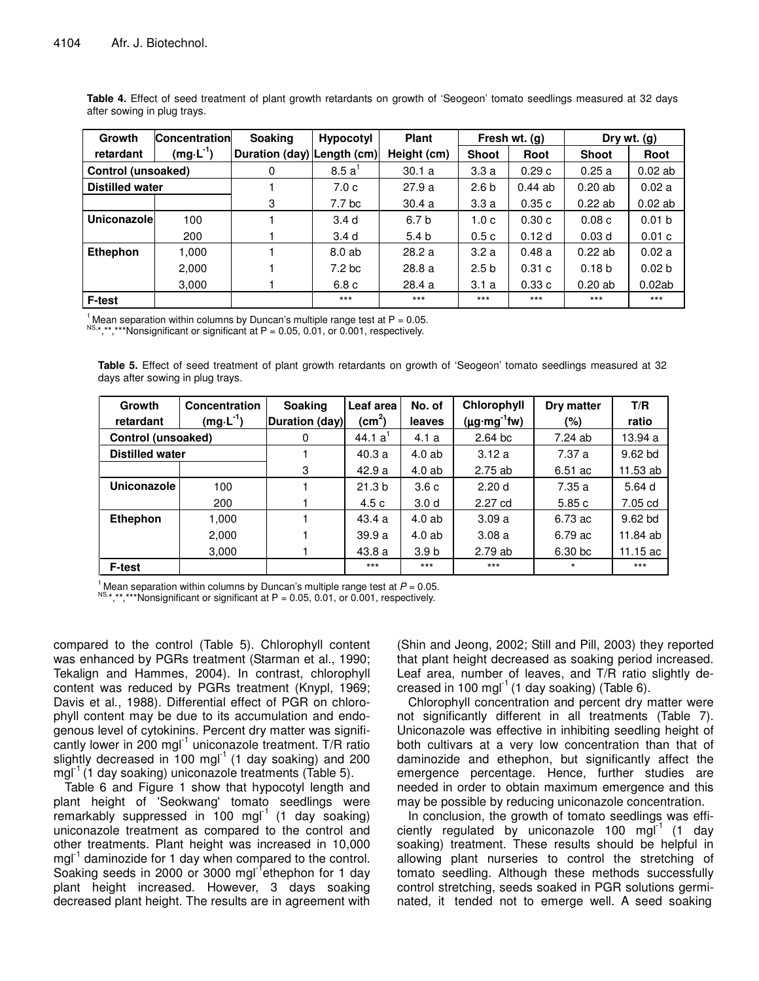| Growth                    | <b>Concentration</b>    | <b>Soaking</b>             | <b>Hypocotyl</b>  | <b>Plant</b>     | Fresh wt. (g)    |        | Dry wt. (g)       |                   |
|---------------------------|-------------------------|----------------------------|-------------------|------------------|------------------|--------|-------------------|-------------------|
| retardant                 | (mg $\cdot$ L $^{-1}$ ) | Duration (day) Length (cm) |                   | Height (cm)      | <b>Shoot</b>     | Root   | <b>Shoot</b>      | Root              |
| <b>Control (unsoaked)</b> |                         | 0                          | 8.5a'             | 30.1a            | 3.3a             | 0.29c  | 0.25a             | $0.02$ ab         |
| <b>Distilled water</b>    |                         |                            | 7.0c              | 27.9a            | 2.6 <sub>b</sub> | 0.44ab | 0.20ab            | 0.02a             |
|                           |                         | 3                          | 7.7 bc            | 30.4a            | 3.3a             | 0.35c  | 0.22ab            | $0.02$ ab         |
| Uniconazolel              | 100                     |                            | 3.4 <sub>d</sub>  | 6.7 b            | 1.0 <sub>c</sub> | 0.30c  | 0.08c             | 0.01 <sub>b</sub> |
|                           | 200                     |                            | 3.4 <sub>d</sub>  | 5.4 <sub>b</sub> | 0.5c             | 0.12d  | 0.03 <sub>d</sub> | 0.01c             |
| <b>Ethephon</b>           | 1,000                   |                            | 8.0 ab            | 28.2a            | 3.2a             | 0.48a  | 0.22ab            | 0.02a             |
|                           | 2,000                   |                            | 7.2 <sub>bc</sub> | 28.8a            | 2.5 <sub>b</sub> | 0.31c  | 0.18 <sub>b</sub> | 0.02 <sub>b</sub> |
|                           | 3,000                   |                            | 6.8 c             | 28.4a            | 3.1a             | 0.33c  | 0.20ab            | 0.02ab            |
| F-test                    |                         |                            | $***$             | $***$            | $***$            | $***$  | $***$             | $***$             |

**Table 4.** Effect of seed treatment of plant growth retardants on growth of 'Seogeon' tomato seedlings measured at 32 days after sowing in plug trays.

<sup>1</sup> Mean separation within columns by Duncan's multiple range test at  $P = 0.05$ .

 $^{NS,*}$ ,\*\*,\*\*\*Nonsignificant or significant at P = 0.05, 0.01, or 0.001, respectively.

**Table 5.** Effect of seed treatment of plant growth retardants on growth of 'Seogeon' tomato seedlings measured at 32 days after sowing in plug trays.

| Growth<br>retardant    | Concentration<br>$(mg \cdot L^{-1})$ | <b>Soaking</b><br>Duration (day) | Leaf area<br>(cm <sup>2</sup> ) | No. of<br>leaves | Chlorophyll<br>$(\mu g \cdot mg^{-1} f w)$ | Dry matter<br>$(\% )$ | T/R<br>ratio |
|------------------------|--------------------------------------|----------------------------------|---------------------------------|------------------|--------------------------------------------|-----------------------|--------------|
| Control (unsoaked)     |                                      | 0                                | 44.1 $a'$                       | 4.1a             | $2.64$ bc                                  | 7.24 ab               | 13.94 a      |
| <b>Distilled water</b> |                                      |                                  | 40.3a                           | 4.0 ab           | 3.12a                                      | 7.37 a                | $9.62$ bd    |
|                        |                                      | 3                                | 42.9a                           | $4.0$ ab         | 2.75 ab                                    | 6.51 ac               | 11.53 ab     |
| Uniconazole            | 100                                  |                                  | 21.3 <sub>b</sub>               | 3.6c             | 2.20d                                      | 7.35 a                | 5.64 d       |
|                        | 200                                  |                                  | 4.5 c                           | 3.0 <sub>d</sub> | 2.27 cd                                    | 5.85 c                | 7.05 cd      |
| Ethephon               | 1,000                                |                                  | 43.4a                           | 4.0 ab           | 3.09a                                      | 6.73 ac               | 9.62 bd      |
|                        | 2,000                                |                                  | 39.9a                           | 4.0ab            | 3.08a                                      | 6.79 ac               | 11.84 ab     |
|                        | 3,000                                |                                  | 43.8a                           | 3.9 b            | 2.79 ab                                    | 6.30 bc               | 11.15 $ac$   |
| <b>F-test</b>          |                                      |                                  | $***$                           | $***$            | $***$                                      | $^\star$              | $***$        |

<sup>1</sup> Mean separation within columns by Duncan's multiple range test at  $P = 0.05$ . NS, \*,\*\*,\*\*\*Nonsignificant or significant at  $P = 0.05, 0.01$ , or 0.001, respectively.

compared to the control (Table 5). Chlorophyll content was enhanced by PGRs treatment (Starman et al., 1990; Tekalign and Hammes, 2004). In contrast, chlorophyll content was reduced by PGRs treatment (Knypl, 1969; Davis et al., 1988). Differential effect of PGR on chlorophyll content may be due to its accumulation and endogenous level of cytokinins. Percent dry matter was significantly lower in 200 mgl<sup>-1</sup> uniconazole treatment. T/R ratio slightly decreased in 100 mgl $^{-1}$  (1 day soaking) and 200 mgl<sup>-1</sup> (1 day soaking) uniconazole treatments (Table 5).

Table 6 and Figure 1 show that hypocotyl length and plant height of 'Seokwang' tomato seedlings were remarkably suppressed in 100 mgl<sup>-1</sup> (1 day soaking) uniconazole treatment as compared to the control and other treatments. Plant height was increased in 10,000 mgl<sup>-1</sup> daminozide for 1 day when compared to the control. Soaking seeds in 2000 or 3000 mgl<sup>-1</sup>ethephon for 1 day plant height increased. However, 3 days soaking decreased plant height. The results are in agreement with (Shin and Jeong, 2002; Still and Pill, 2003) they reported that plant height decreased as soaking period increased. Leaf area, number of leaves, and T/R ratio slightly decreased in 100 mgl $^{-1}$  (1 day soaking) (Table 6).

Chlorophyll concentration and percent dry matter were not significantly different in all treatments (Table 7). Uniconazole was effective in inhibiting seedling height of both cultivars at a very low concentration than that of daminozide and ethephon, but significantly affect the emergence percentage. Hence, further studies are needed in order to obtain maximum emergence and this may be possible by reducing uniconazole concentration.

In conclusion, the growth of tomato seedlings was efficiently regulated by uniconazole 100 mg $I^1$  (1 day soaking) treatment. These results should be helpful in allowing plant nurseries to control the stretching of tomato seedling. Although these methods successfully control stretching, seeds soaked in PGR solutions germinated, it tended not to emerge well. A seed soaking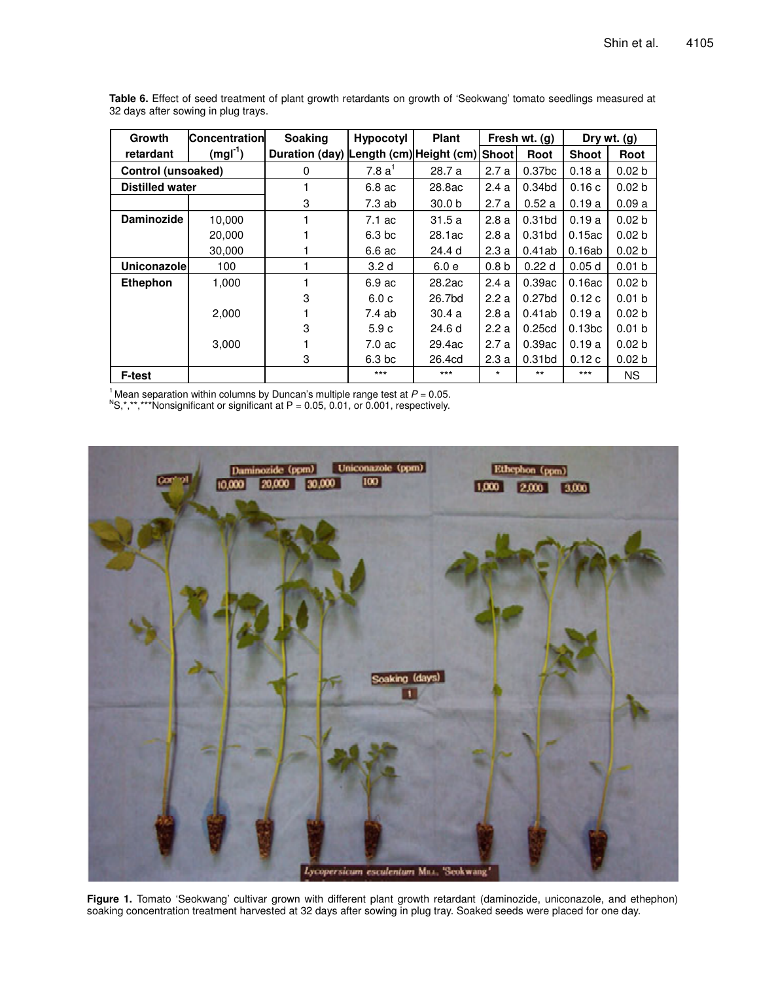| Growth                 | <b>Concentration</b> | <b>Soaking</b>                               | <b>Hypocotyl</b>  | <b>Plant</b>      |                  | Fresh wt. (g)      |                    | Dry $wt.$ (g)     |
|------------------------|----------------------|----------------------------------------------|-------------------|-------------------|------------------|--------------------|--------------------|-------------------|
| retardant              | $(mgl-1)$            | Duration (day) Length (cm) Height (cm) Shoot |                   |                   |                  | Root               | <b>Shoot</b>       | Root              |
| Control (unsoaked)     |                      | 0                                            | 7.8a <sup>1</sup> | 28.7 a            | 2.7a             | 0.37 <sub>bc</sub> | 0.18a              | 0.02 <sub>b</sub> |
| <b>Distilled water</b> |                      |                                              | 6.8 ac            | 28.8ac            | 2.4a             | 0.34bd             | 0.16c              | 0.02 b            |
|                        |                      | 3                                            | 7.3 ab            | 30.0 <sub>b</sub> | 2.7a             | 0.52a              | 0.19a              | 0.09a             |
| Daminozide             | 10,000               |                                              | 7.1 ac            | 31.5a             | 2.8a             | 0.31 <sub>bd</sub> | 0.19a              | 0.02 <sub>b</sub> |
|                        | 20,000               |                                              | 6.3 <sub>bc</sub> | 28.1ac            | 2.8a             | 0.31 <sub>bd</sub> | 0.15ac             | 0.02 <sub>b</sub> |
|                        | 30,000               |                                              | 6.6 ac            | 24.4 d            | 2.3a             | 0.41ab             | 0.16ab             | 0.02 <sub>b</sub> |
| Uniconazolel           | 100                  |                                              | 3.2 <sub>d</sub>  | 6.0e              | 0.8 <sub>b</sub> | 0.22d              | 0.05d              | 0.01 <sub>b</sub> |
| <b>Ethephon</b>        | 1,000                |                                              | 6.9 ac            | 28.2ac            | 2.4a             | 0.39ac             | 0.16ac             | 0.02 <sub>b</sub> |
|                        |                      | 3                                            | 6.0c              | 26.7bd            | 2.2a             | 0.27bd             | 0.12c              | 0.01 <sub>b</sub> |
|                        | 2,000                |                                              | 7.4 ab            | 30.4a             | 2.8a             | 0.41ab             | 0.19a              | 0.02 <sub>b</sub> |
|                        |                      | 3                                            | 5.9c              | 24.6 d            | 2.2a             | 0.25cd             | 0.13 <sub>bc</sub> | 0.01 <sub>b</sub> |
|                        | 3,000                |                                              | $7.0 \text{ ac}$  | 29.4ac            | 2.7a             | 0.39ac             | 0.19a              | 0.02 <sub>b</sub> |
|                        |                      | 3                                            | 6.3 <sub>bc</sub> | 26.4cd            | 2.3a             | 0.31bd             | 0.12c              | 0.02 <sub>b</sub> |
| <b>F-test</b>          |                      |                                              | $***$             | $***$             | $\star$          | $***$              | $***$              | <b>NS</b>         |

**Table 6.** Effect of seed treatment of plant growth retardants on growth of 'Seokwang' tomato seedlings measured at 32 days after sowing in plug trays.

<sup>1</sup> Mean separation within columns by Duncan's multiple range test at  $P = 0.05$ .

 ${}^{\text{N}}\text{S},$ \*,\*\*,\*\*\*Nonsignificant or significant at P = 0.05, 0.01, or 0.001, respectively.



**Figure 1.** Tomato 'Seokwang' cultivar grown with different plant growth retardant (daminozide, uniconazole, and ethephon) soaking concentration treatment harvested at 32 days after sowing in plug tray. Soaked seeds were placed for one day.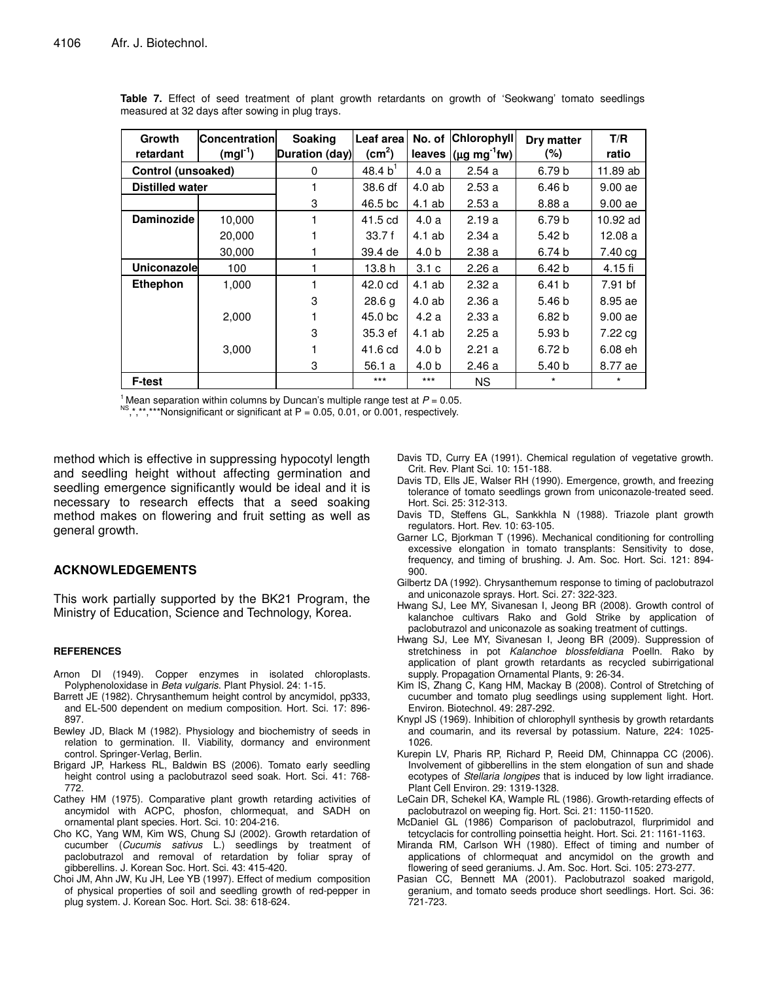| Growth<br>retardant    | <b>Concentration</b><br>$(mgl-1)$ | Soaking<br>Duration (day) | Leaf area<br>(cm <sup>2</sup> ) | leaves           | No. of Chlorophyll<br>$(\mu g mg^{-1}$ fw) | Dry matter<br>$(\%)$ | T/R<br>ratio |
|------------------------|-----------------------------------|---------------------------|---------------------------------|------------------|--------------------------------------------|----------------------|--------------|
| Control (unsoaked)     |                                   | $\Omega$                  | 48.4 $b^1$                      | 4.0a             | 2.54a                                      | 6.79 <sub>b</sub>    | 11.89 ab     |
| <b>Distilled water</b> |                                   |                           | 38.6 df                         | 4.0ab            | 2.53a                                      | 6.46 b               | 9.00ae       |
|                        |                                   | 3                         | 46.5 bc                         | $4.1$ ab         | 2.53a                                      | 8.88 a               | 9.00ae       |
| <b>Daminozide</b>      | 10,000                            |                           | 41.5 cd                         | 4.0a             | 2.19a                                      | 6.79 b               | 10.92 ad     |
|                        | 20,000                            |                           | 33.7f                           | 4.1 ab           | 2.34a                                      | 5.42 <sub>b</sub>    | 12.08a       |
|                        | 30,000                            |                           | 39.4 de                         | 4.0 <sub>b</sub> | 2.38a                                      | 6.74 b               | 7.40 cg      |
| Uniconazolel           | 100                               |                           | 13.8h                           | 3.1 <sub>c</sub> | 2.26a                                      | 6.42 <sub>b</sub>    | 4.15 fi      |
| <b>Ethephon</b>        | 1,000                             |                           | 42.0 cd                         | $4.1$ ab         | 2.32a                                      | 6.41 b               | 7.91 bf      |
|                        |                                   | 3                         | 28.6 g                          | 4.0ab            | 2.36a                                      | 5.46 <sub>b</sub>    | 8.95 ae      |
|                        | 2,000                             |                           | 45.0 bc                         | 4.2 a            | 2.33a                                      | 6.82 <sub>b</sub>    | 9.00ae       |
|                        |                                   | 3                         | 35.3 ef                         | 4.1 ab           | 2.25a                                      | 5.93 b               | 7.22 cg      |
|                        | 3,000                             |                           | 41.6 cd                         | 4.0 <sub>b</sub> | 2.21a                                      | 6.72 <sub>b</sub>    | 6.08 eh      |
|                        |                                   | 3                         | 56.1 a                          | 4.0 <sub>b</sub> | 2.46a                                      | 5.40 <sub>b</sub>    | 8.77 ae      |
| F-test                 |                                   |                           | $***$                           | $***$            | <b>NS</b>                                  | $\star$              |              |

**Table 7.** Effect of seed treatment of plant growth retardants on growth of 'Seokwang' tomato seedlings measured at 32 days after sowing in plug trays.

<sup>1</sup> Mean separation within columns by Duncan's multiple range test at  $P = 0.05$ .

NS  $,$ \*,\*\*,\*\*\*Nonsignificant or significant at P = 0.05, 0.01, or 0.001, respectively.

method which is effective in suppressing hypocotyl length and seedling height without affecting germination and seedling emergence significantly would be ideal and it is necessary to research effects that a seed soaking method makes on flowering and fruit setting as well as general growth.

### **ACKNOWLEDGEMENTS**

This work partially supported by the BK21 Program, the Ministry of Education, Science and Technology, Korea.

#### **REFERENCES**

- Arnon DI (1949). Copper enzymes in isolated chloroplasts. Polyphenoloxidase in *Beta vulgaris*. Plant Physiol. 24: 1-15.
- Barrett JE (1982). Chrysanthemum height control by ancymidol, pp333, and EL-500 dependent on medium composition. Hort. Sci. 17: 896- 897.
- Bewley JD, Black M (1982). Physiology and biochemistry of seeds in relation to germination. II. Viability, dormancy and environment control. Springer-Verlag, Berlin.
- Brigard JP, Harkess RL, Baldwin BS (2006). Tomato early seedling height control using a paclobutrazol seed soak. Hort. Sci. 41: 768- 772.
- Cathey HM (1975). Comparative plant growth retarding activities of ancymidol with ACPC, phosfon, chlormequat, and SADH on ornamental plant species. Hort. Sci. 10: 204-216.
- Cho KC, Yang WM, Kim WS, Chung SJ (2002). Growth retardation of cucumber (*Cucumis sativus* L.) seedlings by treatment of paclobutrazol and removal of retardation by foliar spray of gibberellins. J. Korean Soc. Hort. Sci. 43: 415-420.
- Choi JM, Ahn JW, Ku JH, Lee YB (1997). Effect of medium composition of physical properties of soil and seedling growth of red-pepper in plug system. J. Korean Soc. Hort. Sci. 38: 618-624.
- Davis TD, Curry EA (1991). Chemical regulation of vegetative growth. Crit. Rev. Plant Sci. 10: 151-188.
- Davis TD, Ells JE, Walser RH (1990). Emergence, growth, and freezing tolerance of tomato seedlings grown from uniconazole-treated seed. Hort. Sci. 25: 312-313.
- Davis TD, Steffens GL, Sankkhla N (1988). Triazole plant growth regulators. Hort. Rev. 10: 63-105.
- Garner LC, Bjorkman T (1996). Mechanical conditioning for controlling excessive elongation in tomato transplants: Sensitivity to dose, frequency, and timing of brushing. J. Am. Soc. Hort. Sci. 121: 894- 900.
- Gilbertz DA (1992). Chrysanthemum response to timing of paclobutrazol and uniconazole sprays. Hort. Sci. 27: 322-323.
- Hwang SJ, Lee MY, Sivanesan I, Jeong BR (2008). Growth control of kalanchoe cultivars Rako and Gold Strike by application of paclobutrazol and uniconazole as soaking treatment of cuttings.
- Hwang SJ, Lee MY, Sivanesan I, Jeong BR (2009). Suppression of stretchiness in pot *Kalanchoe blossfeldiana* Poelln. Rako by application of plant growth retardants as recycled subirrigational supply. Propagation Ornamental Plants, 9: 26-34.
- Kim IS, Zhang C, Kang HM, Mackay B (2008). Control of Stretching of cucumber and tomato plug seedlings using supplement light. Hort. Environ. Biotechnol. 49: 287-292.
- Knypl JS (1969). Inhibition of chlorophyll synthesis by growth retardants and coumarin, and its reversal by potassium. Nature, 224: 1025- 1026.
- Kurepin LV, Pharis RP, Richard P, Reeid DM, Chinnappa CC (2006). Involvement of gibberellins in the stem elongation of sun and shade ecotypes of *Stellaria longipes* that is induced by low light irradiance. Plant Cell Environ. 29: 1319-1328.
- LeCain DR, Schekel KA, Wample RL (1986). Growth-retarding effects of paclobutrazol on weeping fig. Hort. Sci. 21: 1150-11520.
- McDaniel GL (1986) Comparison of paclobutrazol, flurprimidol and tetcyclacis for controlling poinsettia height. Hort. Sci. 21: 1161-1163.
- Miranda RM, Carlson WH (1980). Effect of timing and number of applications of chlormequat and ancymidol on the growth and flowering of seed geraniums. J. Am. Soc. Hort. Sci. 105: 273-277.
- Pasian CC, Bennett MA (2001). Paclobutrazol soaked marigold, geranium, and tomato seeds produce short seedlings. Hort. Sci. 36: 721-723.